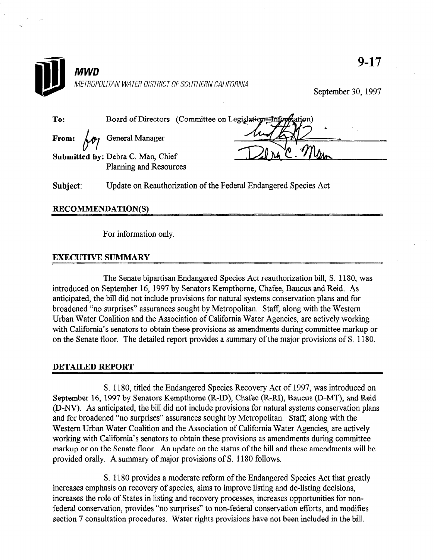

## RECOMMENDATION(S)

For information only.

## EXECUTIVE SUMMARY

The Senate bipartisan Endangered Species Act reauthorization bill, S. 1180, was introduced on September 16, 1997 by Senators Kempthorne, Charles Kempthorne, Changes and Reide. Assembly, antiquated on belief hotels, the bill did not keep the ball did not include and form. As anticipated, the bill did not include provisions for natural systems conservation plans and for broadened "no surprises" assurances sought by Metropolitan. Staff, along with the Western Urban Water Coalition and the Association of California Water Agencies, are actively working with California's senators to obtain these provisions as amendments during committee markup or<br>on the Senate floor. The detailed report provides a summary of the major provisions of S. 1180.

S. 1180, titled the Endangered Species Recovery Act of 1997, was introduced on September 16, 1997 by Senators Kempthorne (R-ID), Chafee (R-RI), Baucus (D-MT), and Reid (D-NV). As anticipated, the bill did not include provisions for natural systems conservation plans and for broadened "no surprises" assurances sought by Metropolitan. Staff, along with the Western Urban Water Coalition and the Association of California Water Agencies, are actively working with California's senators to obtain these provisions as amendments during committee markup or on the Senate floor. An update on the status of the bill and these amendments will be provided orally. A summary of major provisions of S. 1180 follows.

S. 1180 provides a moderate reform of the Endangered Species Act that greatly increases emphasis on recovery of species, aims to improve listing and de-listing decisions, increases the role of States in listing and recovery processes, increases opportunities for nonfederal conservation, provides "no surprises" to non-federal conservation efforts, and modifies section 7 consultation procedures. Water rights provisions have not been included in the bill.